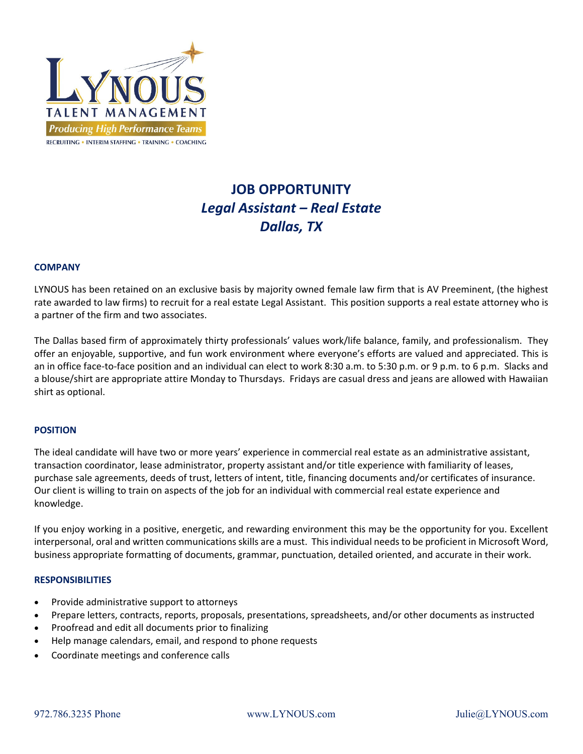

# **JOB OPPORTUNITY** *Legal Assistant – Real Estate Dallas, TX*

### **COMPANY**

LYNOUS has been retained on an exclusive basis by majority owned female law firm that is AV Preeminent, (the highest rate awarded to law firms) to recruit for a real estate Legal Assistant. This position supports a real estate attorney who is a partner of the firm and two associates.

The Dallas based firm of approximately thirty professionals' values work/life balance, family, and professionalism. They offer an enjoyable, supportive, and fun work environment where everyone's efforts are valued and appreciated. This is an in office face-to-face position and an individual can elect to work 8:30 a.m. to 5:30 p.m. or 9 p.m. to 6 p.m. Slacks and a blouse/shirt are appropriate attire Monday to Thursdays. Fridays are casual dress and jeans are allowed with Hawaiian shirt as optional.

#### **POSITION**

The ideal candidate will have two or more years' experience in commercial real estate as an administrative assistant, transaction coordinator, lease administrator, property assistant and/or title experience with familiarity of leases, purchase sale agreements, deeds of trust, letters of intent, title, financing documents and/or certificates of insurance. Our client is willing to train on aspects of the job for an individual with commercial real estate experience and knowledge.

If you enjoy working in a positive, energetic, and rewarding environment this may be the opportunity for you. Excellent interpersonal, oral and written communications skills are a must. This individual needs to be proficient in Microsoft Word, business appropriate formatting of documents, grammar, punctuation, detailed oriented, and accurate in their work.

#### **RESPONSIBILITIES**

- Provide administrative support to attorneys
- Prepare letters, contracts, reports, proposals, presentations, spreadsheets, and/or other documents as instructed
- Proofread and edit all documents prior to finalizing
- Help manage calendars, email, and respond to phone requests
- Coordinate meetings and conference calls